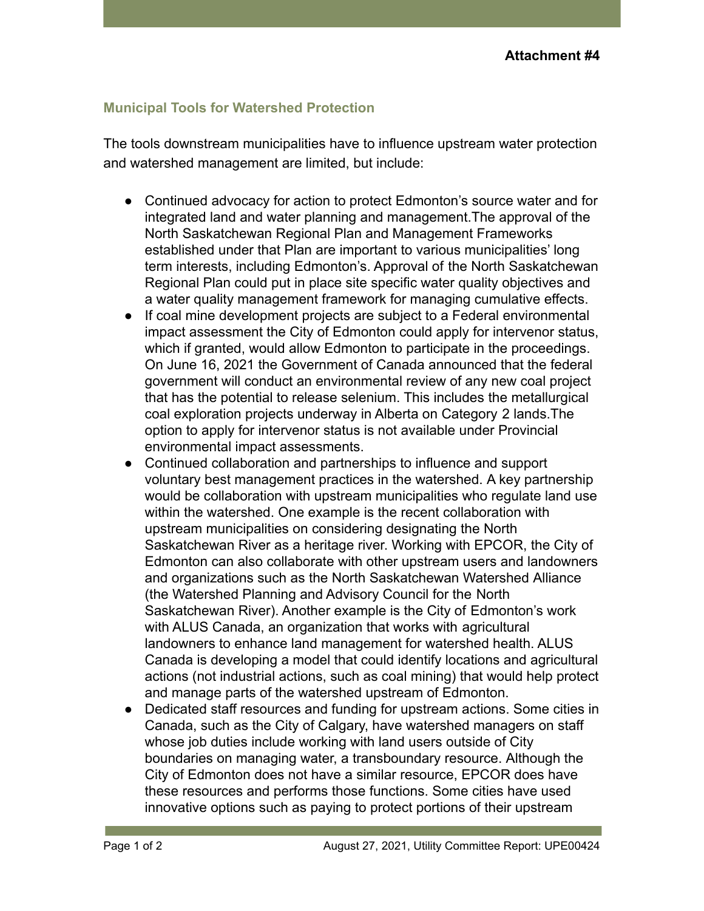## **Municipal Tools for Watershed Protection**

The tools downstream municipalities have to influence upstream water protection and watershed management are limited, but include:

- Continued advocacy for action to protect Edmonton's source water and for integrated land and water planning and management.The approval of the North Saskatchewan Regional Plan and Management Frameworks established under that Plan are important to various municipalities' long term interests, including Edmonton's. Approval of the North Saskatchewan Regional Plan could put in place site specific water quality objectives and a water quality management framework for managing cumulative effects.
- If coal mine development projects are subject to a Federal environmental impact assessment the City of Edmonton could apply for intervenor status, which if granted, would allow Edmonton to participate in the proceedings. On June 16, 2021 the Government of Canada announced that the federal government will conduct an environmental review of any new coal project that has the potential to release selenium. This includes the metallurgical coal exploration projects underway in Alberta on Category 2 lands.The option to apply for intervenor status is not available under Provincial environmental impact assessments.
- Continued collaboration and partnerships to influence and support voluntary best management practices in the watershed. A key partnership would be collaboration with upstream municipalities who regulate land use within the watershed. One example is the recent collaboration with upstream municipalities on considering designating the North Saskatchewan River as a heritage river. Working with EPCOR, the City of Edmonton can also collaborate with other upstream users and landowners and organizations such as the North Saskatchewan Watershed Alliance (the Watershed Planning and Advisory Council for the North Saskatchewan River). Another example is the City of Edmonton's work with ALUS Canada, an organization that works with agricultural landowners to enhance land management for watershed health. ALUS Canada is developing a model that could identify locations and agricultural actions (not industrial actions, such as coal mining) that would help protect and manage parts of the watershed upstream of Edmonton.
- Dedicated staff resources and funding for upstream actions. Some cities in Canada, such as the City of Calgary, have watershed managers on staff whose job duties include working with land users outside of City boundaries on managing water, a transboundary resource. Although the City of Edmonton does not have a similar resource, EPCOR does have these resources and performs those functions. Some cities have used innovative options such as paying to protect portions of their upstream